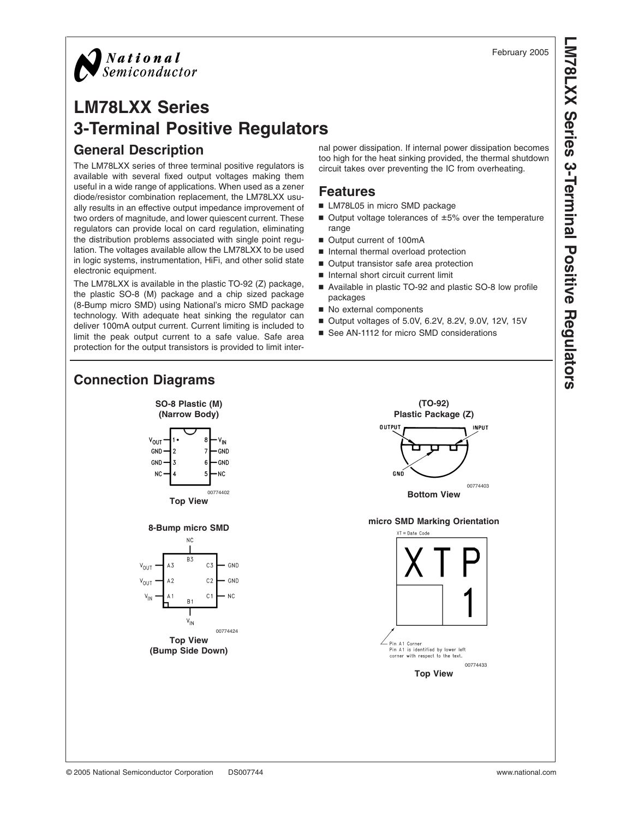

# **LM78LXX Series 3-Terminal Positive Regulators General Description**

The LM78LXX series of three terminal positive regulators is available with several fixed output voltages making them useful in a wide range of applications. When used as a zener diode/resistor combination replacement, the LM78LXX usually results in an effective output impedance improvement of two orders of magnitude, and lower quiescent current. These regulators can provide local on card regulation, eliminating the distribution problems associated with single point regulation. The voltages available allow the LM78LXX to be used in logic systems, instrumentation, HiFi, and other solid state electronic equipment.

The LM78LXX is available in the plastic TO-92 (Z) package, the plastic SO-8 (M) package and a chip sized package (8-Bump micro SMD) using National's micro SMD package technology. With adequate heat sinking the regulator can deliver 100mA output current. Current limiting is included to limit the peak output current to a safe value. Safe area protection for the output transistors is provided to limit internal power dissipation. If internal power dissipation becomes too high for the heat sinking provided, the thermal shutdown circuit takes over preventing the IC from overheating.

#### **Features**

- LM78L05 in micro SMD package
- $\blacksquare$  Output voltage tolerances of  $\pm 5\%$  over the temperature range
- Output current of 100mA
- n Internal thermal overload protection
- Output transistor safe area protection
- Internal short circuit current limit
- Available in plastic TO-92 and plastic SO-8 low profile packages
- No external components
- Output voltages of 5.0V, 6.2V, 8.2V, 9.0V, 12V, 15V
- See AN-1112 for micro SMD considerations

#### **Connection Diagrams SO-8 Plastic (M) (TO-92) (Narrow Body) Plastic Package (Z) OUTPUT INPUT**  $V_{OUT}$ V<sub>IN</sub>  $GND$ GND  $GND$ GND 3 N<sub>C</sub> NC. GNO 00774403 00774402 **Bottom View Top View micro SMD Marking Orientation 8-Bump micro SMD** .<br>XT = Date\_Code  $NC$ B<sub>3</sub> A3  $C<sub>3</sub>$ GND  $V_{\text{OUT}}$  $A2$  $C<sub>2</sub>$ GND  $V_{\text{OUT}}$  $C<sub>1</sub>$ N<sub>C</sub>  $R<sub>1</sub>$  $V_{\sf IN}$ 00774424 **Top View** - Pin A1 Corner<br>Pin A1 is identified by lower left<br>corner with respect to the text. **(Bump Side Down)** 00774433 **Top View**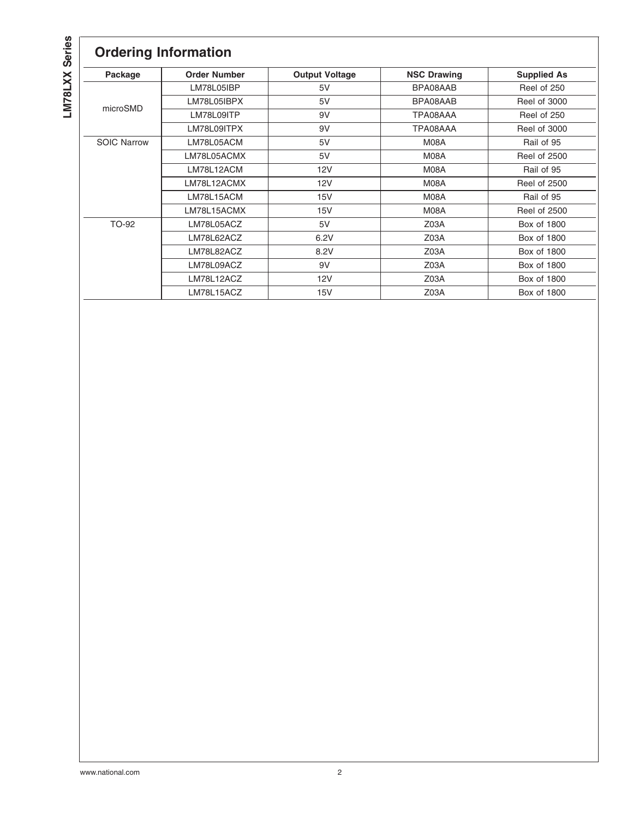LM78LXX Series **LM78LXX Series**

# **Ordering Information**

| Package            | <b>Order Number</b> | <b>Output Voltage</b> | <b>NSC Drawing</b> | <b>Supplied As</b>  |
|--------------------|---------------------|-----------------------|--------------------|---------------------|
|                    | LM78L05IBP          | 5V                    | BPA08AAB           | Reel of 250         |
|                    | LM78L05IBPX         | 5V                    | BPA08AAB           | Reel of 3000        |
| microSMD           | LM78L09ITP          | 9V                    | TPA08AAA           | Reel of 250         |
|                    | LM78L09ITPX         | 9V                    | TPA08AAA           | Reel of 3000        |
| <b>SOIC Narrow</b> | LM78L05ACM          | 5V                    | M08A               | Rail of 95          |
|                    | LM78L05ACMX         | 5V                    | M08A               | <b>Reel of 2500</b> |
|                    | LM78L12ACM          | 12V                   | M08A               | Rail of 95          |
|                    | LM78L12ACMX         | 12V                   | M08A               | <b>Reel of 2500</b> |
|                    | LM78L15ACM          | 15V                   | M08A               | Rail of 95          |
|                    | LM78L15ACMX         | 15V                   | M08A               | <b>Reel of 2500</b> |
| TO-92              | LM78L05ACZ          | 5V                    | Z03A               | Box of 1800         |
|                    | LM78L62ACZ          | 6.2V                  | Z03A               | Box of 1800         |
|                    | LM78L82ACZ          | 8.2V                  | Z03A               | Box of 1800         |
|                    | LM78L09ACZ          | 9V                    | Z03A               | Box of 1800         |
|                    | LM78L12ACZ          | 12V                   | Z03A               | Box of 1800         |
|                    | LM78L15ACZ          | 15V                   | Z03A               | Box of 1800         |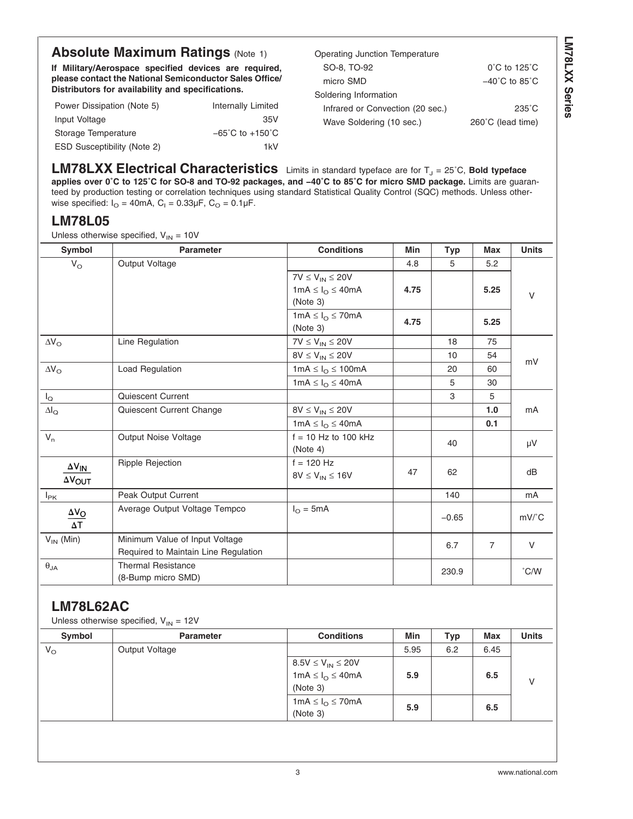## **Absolute Maximum Ratings [\(Note 1\)](#page-5-0)**

**If Military/Aerospace specified devices are required, please contact the National Semiconductor Sales Office/ Distributors for availability and specifications.**

| Power Dissipation (Note 5)         | Internally Limited                  |
|------------------------------------|-------------------------------------|
| Input Voltage                      | 35V                                 |
| Storage Temperature                | $-65^{\circ}$ C to $+150^{\circ}$ C |
| <b>ESD Susceptibility (Note 2)</b> | 1kV                                 |

| Operating Junction Temperature   |                                    |
|----------------------------------|------------------------------------|
| SO-8, TO-92                      | $0^{\circ}$ C to 125 $^{\circ}$ C  |
| micro SMD                        | $-40^{\circ}$ C to 85 $^{\circ}$ C |
| Soldering Information            |                                    |
| Infrared or Convection (20 sec.) | $235^{\circ}$ C                    |
| Wave Soldering (10 sec.)         | 260°C (lead time)                  |

**LM78LXX Electrical Characteristics** Limits in standard typeface are for T<sub>J</sub> = 25°C, Bold typeface **applies over 0˚C to 125˚C for SO-8 and TO-92 packages, and −40˚C to 85˚C for micro SMD package.** Limits are guaranteed by production testing or correlation techniques using standard Statistical Quality Control (SQC) methods. Unless otherwise specified:  $I<sub>O</sub> = 40$ mA,  $C<sub>1</sub> = 0.33 \mu F$ ,  $C<sub>O</sub> = 0.1 \mu F$ .

#### **LM78L05**

Unless otherwise specified,  $V_{IN} = 10V$ 

| <b>Symbol</b>                              | <b>Parameter</b>                                                       | <b>Conditions</b>                                                        | Min  | <b>Typ</b> | <b>Max</b>     | <b>Units</b>                         |
|--------------------------------------------|------------------------------------------------------------------------|--------------------------------------------------------------------------|------|------------|----------------|--------------------------------------|
| $V_{\rm O}$                                | Output Voltage                                                         |                                                                          | 4.8  | 5          | 5.2            |                                      |
|                                            |                                                                        | $7V \leq V_{IN} \leq 20V$<br>$1mA \leq I_{\Omega} \leq 40mA$<br>(Note 3) | 4.75 |            | 5.25           | $\vee$                               |
|                                            |                                                                        | $1mA \leq I_{O} \leq 70mA$<br>(Note 3)                                   | 4.75 |            | 5.25           |                                      |
| $\Delta V_O$                               | Line Regulation                                                        | $7V \leq V_{IN} \leq 20V$                                                |      | 18         | 75             |                                      |
|                                            |                                                                        | $8V \leq V_{IN} \leq 20V$                                                |      | 10         | 54             | mV                                   |
| $\Delta V_O$                               | Load Regulation                                                        | $1mA \leq I_{\odot} \leq 100mA$                                          |      | 20         | 60             |                                      |
|                                            |                                                                        | $1mA \leq I_{O} \leq 40mA$                                               |      | 5          | 30             |                                      |
| $I_{\mathsf{Q}}$                           | Quiescent Current                                                      |                                                                          |      | 3          | 5              |                                      |
| $\Delta I_{\rm Q}$                         | Quiescent Current Change                                               | $8V \leq V_{IN} \leq 20V$                                                |      |            | 1.0            | mA                                   |
|                                            |                                                                        | $1mA \leq I_{O} \leq 40mA$                                               |      |            | 0.1            |                                      |
| $V_{n}$                                    | Output Noise Voltage                                                   | $f = 10$ Hz to 100 kHz<br>(Note 4)                                       |      | 40         |                | μV                                   |
| $\Delta V_{lN}$<br>$\Delta V_{\text{OUT}}$ | <b>Ripple Rejection</b>                                                | $f = 120$ Hz<br>$8V \le V_{IN} \le 16V$                                  | 47   | 62         |                | dB                                   |
| $I_{PK}$                                   | Peak Output Current                                                    |                                                                          |      | 140        |                | mA                                   |
| $\frac{\Delta V_O}{\Delta T}$              | Average Output Voltage Tempco                                          | $I_{\Omega} = 5mA$                                                       |      | $-0.65$    |                | $mV$ <sup><math>\circ</math></sup> C |
| $V_{IN}$ (Min)                             | Minimum Value of Input Voltage<br>Required to Maintain Line Regulation |                                                                          |      | 6.7        | $\overline{7}$ | V                                    |
| $\theta_{\mathsf{JA}}$                     | <b>Thermal Resistance</b><br>(8-Bump micro SMD)                        |                                                                          |      | 230.9      |                | $\degree$ C/W                        |

#### **LM78L62AC**

| Unless otherwise specified, $V_{IN} = 12V$ |  |  |  |
|--------------------------------------------|--|--|--|
|--------------------------------------------|--|--|--|

| Symbol      | <b>Parameter</b>          | <b>Conditions</b>                | Min  | Typ | <b>Max</b> | <b>Units</b> |
|-------------|---------------------------|----------------------------------|------|-----|------------|--------------|
| $V_{\rm O}$ | Output Voltage            |                                  | 5.95 | 6.2 | 6.45       |              |
|             | $8.5V \le V_{IN} \le 20V$ |                                  |      |     |            |              |
|             |                           | $1mA \leq I_{O} \leq 40mA$       | 5.9  |     | 6.5        | V            |
|             |                           | (Note 3)                         |      |     |            |              |
|             |                           | 1mA $\leq I_{\Omega} \leq 70$ mA |      |     | 6.5        |              |
|             |                           | (Note 3)                         | 5.9  |     |            |              |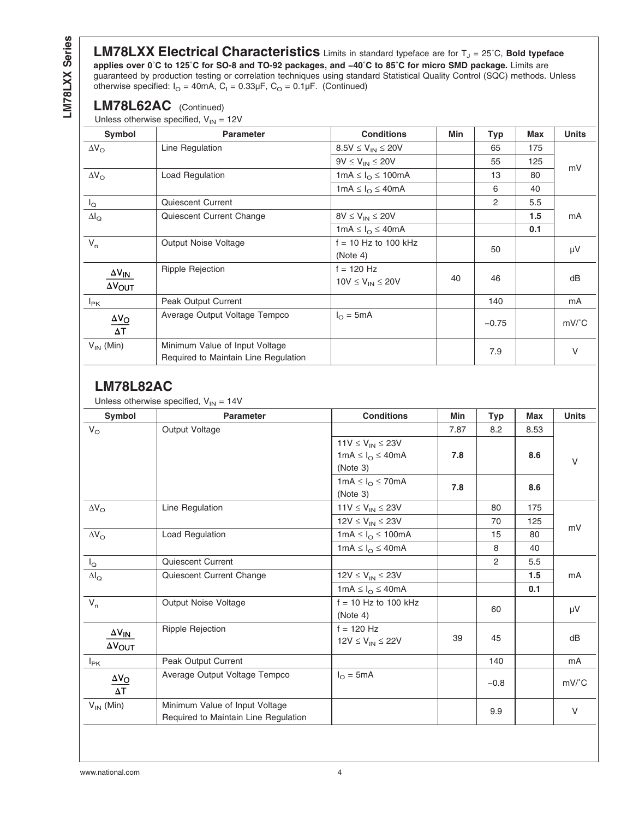LM78LXX Series **LM78LXX Series**

LM78LXX Electrical Characteristics Limits in standard typeface are for T<sub>J</sub> = 25°C, Bold typeface **applies over 0˚C to 125˚C for SO-8 and TO-92 packages, and −40˚C to 85˚C for micro SMD package.** Limits are guaranteed by production testing or correlation techniques using standard Statistical Quality Control (SQC) methods. Unless otherwise specified:  $I_{\text{O}}$  = 40mA, C<sub>I</sub> = 0.33µF, C<sub>O</sub> = 0.1µF. (Continued)

#### **LM78L62AC** (Continued)

Unless otherwise specified,  $V_{IN} = 12V$ 

| Symbol                                 | <b>Parameter</b>                                                       | <b>Conditions</b>                 | Min | <b>Typ</b>     | <b>Max</b> | <b>Units</b>  |
|----------------------------------------|------------------------------------------------------------------------|-----------------------------------|-----|----------------|------------|---------------|
| $\Delta V_{\Omega}$                    | Line Regulation                                                        | $8.5V \le V_{IN} \le 20V$         |     | 65             | 175        |               |
|                                        |                                                                        | $9V \leq V_{IN} \leq 20V$         |     | 55             | 125        | mV            |
| $\Delta V_{\rm O}$                     | <b>Load Regulation</b>                                                 | 1mA $\leq I_{\Omega} \leq 100$ mA |     | 13             | 80         |               |
|                                        |                                                                        | 1mA $\leq I_{\Omega} \leq 40$ mA  |     | 6              | 40         |               |
| $I_{\mathsf{Q}}$                       | <b>Quiescent Current</b>                                               |                                   |     | $\overline{2}$ | 5.5        |               |
| $\Delta I_{\rm Q}$                     | Quiescent Current Change                                               | $8V \leq V_{IN} \leq 20V$         |     |                | 1.5        | mA            |
|                                        |                                                                        | 1mA $\leq I_{\Omega} \leq 40$ mA  |     |                | 0.1        |               |
| $V_{n}$                                | Output Noise Voltage                                                   | $f = 10$ Hz to 100 kHz            |     | 50             |            | μV            |
|                                        |                                                                        | (Note 4)                          |     |                |            |               |
| $\Delta V_{\text{IN}}$                 | <b>Ripple Rejection</b>                                                | $f = 120$ Hz                      |     |                |            |               |
| $\Delta V_{\text{OUT}}$                |                                                                        | $10V \leq V_{IN} \leq 20V$        | 40  | 46             |            | dB            |
| $I_{PK}$                               | Peak Output Current                                                    |                                   |     | 140            |            | mA            |
| $\underline{\Delta V_O}$<br>$\Delta T$ | Average Output Voltage Tempco                                          | $I_{\Omega} = 5mA$                |     | $-0.75$        |            | $mV^{\circ}C$ |
| $V_{IN}$ (Min)                         | Minimum Value of Input Voltage<br>Required to Maintain Line Regulation |                                   |     | 7.9            |            | $\vee$        |

#### **LM78L82AC**

Unless otherwise specified,  $V_{IN} = 14V$ 

| Symbol                        | <b>Parameter</b>                     | <b>Conditions</b>               | Min  | <b>Typ</b> | <b>Max</b> | <b>Units</b>                   |
|-------------------------------|--------------------------------------|---------------------------------|------|------------|------------|--------------------------------|
| $V_{\rm O}$                   | Output Voltage                       |                                 | 7.87 | 8.2        | 8.53       |                                |
|                               |                                      | $11V \le V_{IN} \le 23V$        |      |            |            |                                |
|                               |                                      | $1mA \leq I_{O} \leq 40mA$      | 7.8  |            | 8.6        | $\vee$                         |
|                               |                                      | (Note 3)                        |      |            |            |                                |
|                               |                                      | $1mA \leq I_{\Omega} \leq 70mA$ | 7.8  |            | 8.6        |                                |
|                               |                                      | (Note 3)                        |      |            |            |                                |
| $\Delta V_{\rm O}$            | Line Regulation                      | $11V \le V_{IN} \le 23V$        |      | 80         | 175        |                                |
|                               |                                      | $12V \le V_{IN} \le 23V$        |      | 70         | 125        |                                |
| $\Delta\rm{V}_\odot$          | Load Regulation                      | $1mA \leq I_{O} \leq 100mA$     |      | 15         | 80         | mV                             |
|                               |                                      | $1mA \leq I_{\Omega} \leq 40mA$ |      | 8          | 40         |                                |
| $I_{\mathsf{Q}}$              | Quiescent Current                    |                                 |      | 2          | 5.5        |                                |
| $\Delta I_{\textsf{Q}}$       | Quiescent Current Change             | $12V \le V_{IN} \le 23V$        |      |            | 1.5        | mA                             |
|                               |                                      | $1mA \leq I_{O} \leq 40mA$      |      |            | 0.1        |                                |
| $V_n$                         | Output Noise Voltage                 | $f = 10$ Hz to 100 kHz          |      | 60         |            | $\mu V$                        |
|                               |                                      | (Note 4)                        |      |            |            |                                |
| $\Delta V_{IN}$               | Ripple Rejection                     | $f = 120$ Hz                    |      |            |            |                                |
| $\Delta V_{\text{OUT}}$       |                                      | $12V \le V_{IN} \le 22V$        | 39   | 45         |            | dB                             |
| $I_{PK}$                      | Peak Output Current                  |                                 |      | 140        |            | mA                             |
|                               | Average Output Voltage Tempco        | $I_{\Omega} = 5mA$              |      |            |            |                                |
| $\frac{\Delta V_O}{\Delta T}$ |                                      |                                 |      | $-0.8$     |            | $mV$ <sup><math>c</math></sup> |
| $V_{IN}$ (Min)                | Minimum Value of Input Voltage       |                                 |      | 9.9        |            | $\vee$                         |
|                               | Required to Maintain Line Regulation |                                 |      |            |            |                                |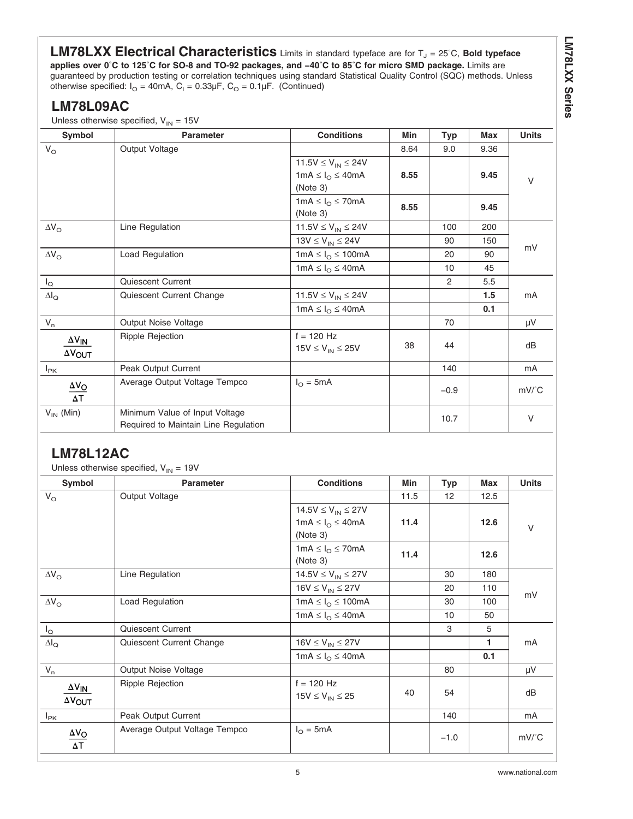**LM78LXX Series**

**LM78LXX Electrical Characteristics** Limits in standard typeface are for T<sub>J</sub> = 25°C, Bold typeface **applies over 0˚C to 125˚C for SO-8 and TO-92 packages, and −40˚C to 85˚C for micro SMD package.** Limits are guaranteed by production testing or correlation techniques using standard Statistical Quality Control (SQC) methods. Unless otherwise specified:  $I_{\text{O}}$  = 40mA, C<sub>I</sub> = 0.33µF, C<sub>O</sub> = 0.1µF. (Continued)

## **LM78L09AC**

Unless otherwise specified,  $V_{IN} = 15V$ 

| Symbol                                            | <b>Parameter</b>                                                       | <b>Conditions</b>                                                          | Min  | <b>Typ</b> | Max  | <b>Units</b>  |
|---------------------------------------------------|------------------------------------------------------------------------|----------------------------------------------------------------------------|------|------------|------|---------------|
| $V_{\rm O}$                                       | Output Voltage                                                         |                                                                            | 8.64 | 9.0        | 9.36 |               |
|                                                   |                                                                        | 11.5 $V \le V_{IN} \le 24V$<br>$1mA \leq I_{\Omega} \leq 40mA$<br>(Note 3) | 8.55 |            | 9.45 | $\vee$        |
|                                                   |                                                                        | 1mA $\leq I_{\Omega} \leq 70$ mA<br>(Note 3)                               | 8.55 |            | 9.45 |               |
| $\Delta V_{\rm O}$                                | Line Regulation                                                        | 11.5 $V \le V_{IN} \le 24V$                                                |      | 100        | 200  |               |
|                                                   |                                                                        | $13V \le V_{IN} \le 24V$                                                   |      | 90         | 150  | mV            |
| $\Delta V_{\rm O}$                                | <b>Load Regulation</b>                                                 | 1mA $\leq I_{\odot} \leq 100$ mA                                           |      | 20         | 90   |               |
|                                                   |                                                                        | 1mA $\leq I_{\Omega} \leq 40$ mA                                           |      | 10         | 45   |               |
| $I_{\mathsf{Q}}$                                  | Quiescent Current                                                      |                                                                            |      | 2          | 5.5  |               |
| $\Delta I_{\rm Q}$                                | Quiescent Current Change                                               | 11.5V $\leq$ V <sub>IN</sub> $\leq$ 24V                                    |      |            | 1.5  | mA            |
|                                                   |                                                                        | $1mA \leq I_{O} \leq 40mA$                                                 |      |            | 0.1  |               |
| $V_n$                                             | Output Noise Voltage                                                   |                                                                            |      | 70         |      | μV            |
| $\Delta V_{\text{IN}}$<br>$\Delta V_{\text{OUT}}$ | <b>Ripple Rejection</b>                                                | $f = 120$ Hz<br>$15V \leq V_{IN} \leq 25V$                                 | 38   | 44         |      | dB            |
| $I_{\text{PK}}$                                   | Peak Output Current                                                    |                                                                            |      | 140        |      | mA            |
| $\underline{\Delta V_O}$<br>$\overline{\Delta T}$ | Average Output Voltage Tempco                                          | $I_{\Omega} = 5mA$                                                         |      | $-0.9$     |      | $mV^{\circ}C$ |
| $V_{IN}$ (Min)                                    | Minimum Value of Input Voltage<br>Required to Maintain Line Regulation |                                                                            |      | 10.7       |      | $\vee$        |

## **LM78L12AC**

Unless otherwise specified,  $V_{1N} = 19V$ 

| Symbol                        | <b>Parameter</b>              | <b>Conditions</b>               | Min  | <b>Typ</b>      | Max  | <b>Units</b>                   |
|-------------------------------|-------------------------------|---------------------------------|------|-----------------|------|--------------------------------|
| $V_{\rm O}$                   | Output Voltage                |                                 | 11.5 | 12              | 12.5 |                                |
|                               |                               | $14.5V \le V_{IN} \le 27V$      |      |                 |      |                                |
|                               |                               | $1mA \leq I_{\Omega} \leq 40mA$ | 11.4 |                 | 12.6 | $\vee$                         |
|                               |                               | (Note 3)                        |      |                 |      |                                |
|                               |                               | $1mA \leq I_{\Omega} \leq 70mA$ | 11.4 |                 | 12.6 |                                |
|                               |                               | (Note 3)                        |      |                 |      |                                |
| $\Delta V_{\rm O}$            | Line Regulation               | $14.5V \le V_{IN} \le 27V$      |      | 30              | 180  |                                |
|                               |                               | $16V \leq V_{IN} \leq 27V$      |      | 20              | 110  |                                |
| $\Delta V_{\rm O}$            | Load Regulation               | $1mA \leq I_{\odot} \leq 100mA$ |      | 30              | 100  | mV                             |
|                               |                               | $1mA \leq I_{\Omega} \leq 40mA$ |      | 10 <sup>1</sup> | 50   |                                |
| $I_{\mathsf{Q}}$              | Quiescent Current             |                                 |      | 3               | 5    |                                |
| $\Delta I_{\rm Q}$            | Quiescent Current Change      | $16V \leq V_{IN} \leq 27V$      |      |                 | 1    | mA                             |
|                               |                               | $1mA \leq I_{\Omega} \leq 40mA$ |      |                 | 0.1  |                                |
| $V_n$                         | Output Noise Voltage          |                                 |      | 80              |      | μV                             |
| $\Delta V_{\underline{IN}}$   | <b>Ripple Rejection</b>       | $f = 120$ Hz                    |      |                 |      |                                |
| $\Delta V_{\text{OUT}}$       |                               | $15V \le V_{IN} \le 25$         | 40   | 54              |      | dB                             |
| $I_{PK}$                      | Peak Output Current           |                                 |      | 140             |      | mA                             |
|                               |                               | $I_{\Omega} = 5mA$              |      |                 |      |                                |
| $\frac{\Delta V_O}{\Delta T}$ | Average Output Voltage Tempco |                                 |      | $-1.0$          |      | $mV$ <sup><math>c</math></sup> |
|                               |                               |                                 |      |                 |      |                                |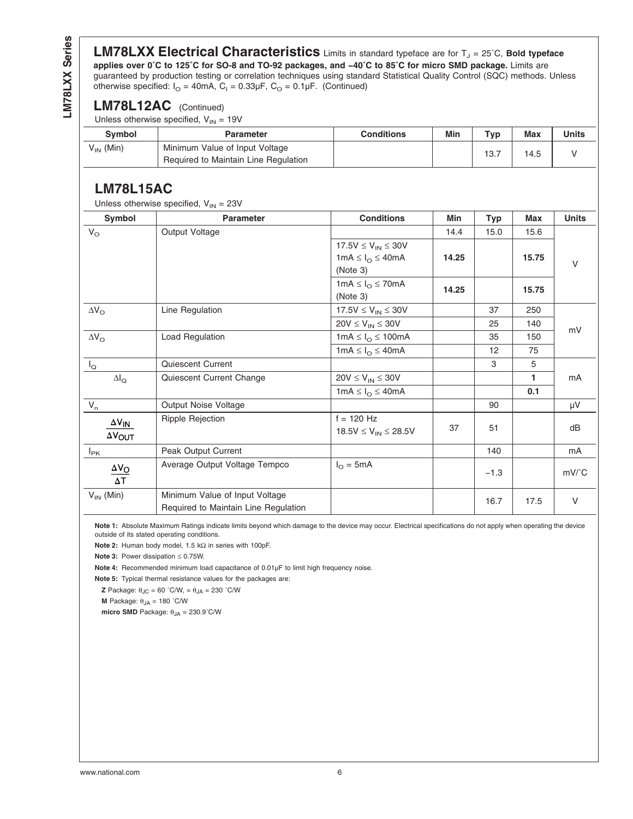<span id="page-5-0"></span>LM78LXX Series **LM78LXX Series**

**LM78LXX Electrical Characteristics** Limits in standard typeface are for T<sub>J</sub> = 25°C, Bold typeface **applies over 0˚C to 125˚C for SO-8 and TO-92 packages, and −40˚C to 85˚C for micro SMD package.** Limits are guaranteed by production testing or correlation techniques using standard Statistical Quality Control (SQC) methods. Unless otherwise specified:  $I_{\text{O}}$  = 40mA, C<sub>I</sub> = 0.33µF, C<sub>O</sub> = 0.1µF. (Continued)

#### **LM78L12AC** (Continued)

Unless otherwise specified,  $V_{IN} = 19V$ 

| <b>Symbol</b>  | <b>Parameter</b>                                                       | <b>Conditions</b> | Min | Typ  | Max  | Units |
|----------------|------------------------------------------------------------------------|-------------------|-----|------|------|-------|
| $V_{IN}$ (Min) | Minimum Value of Input Voltage<br>Required to Maintain Line Regulation |                   |     | 13.7 | 14.5 |       |

### **LM78L15AC**

|                                              | Unless otherwise specified, $V_{IN} = 23V$                             |                                           |       |            |            |               |
|----------------------------------------------|------------------------------------------------------------------------|-------------------------------------------|-------|------------|------------|---------------|
| <b>Symbol</b>                                | <b>Parameter</b>                                                       | <b>Conditions</b>                         | Min   | <b>Typ</b> | <b>Max</b> | <b>Units</b>  |
| $V_{\rm O}$                                  | Output Voltage                                                         |                                           | 14.4  | 15.0       | 15.6       |               |
|                                              |                                                                        | 17.5 $V \le V_{IN} \le 30V$               |       |            |            |               |
|                                              |                                                                        | 1mA $\leq I_{\Omega} \leq 40$ mA          | 14.25 |            | 15.75      | $\vee$        |
|                                              |                                                                        | (Note 3)                                  |       |            |            |               |
|                                              |                                                                        | $1mA \leq I_{\Omega} \leq 70mA$           | 14.25 |            | 15.75      |               |
|                                              |                                                                        | (Note 3)                                  |       |            |            |               |
| $\Delta V_{\rm O}$                           | Line Regulation                                                        | $17.5V \le V_{IN} \le 30V$                |       | 37         | 250        |               |
|                                              |                                                                        | $20V \leq V_{IN} \leq 30V$                |       | 25         | 140        | mV            |
| $\Delta V_{\rm O}$                           | Load Regulation                                                        | $1mA \leq I_{\Omega} \leq 100mA$          |       | 35         | 150        |               |
|                                              |                                                                        | $1mA \leq I_{\Omega} \leq 40mA$           |       | 12         | 75         |               |
| $I_{\mathsf{Q}}$                             | Quiescent Current                                                      |                                           |       | 3          | 5          |               |
| $\Delta I_Q$                                 | Quiescent Current Change                                               | $20V \leq V_{IN} \leq 30V$                |       |            | 1.         | mA            |
|                                              |                                                                        | $1mA \leq I_{O} \leq 40mA$                |       |            | 0.1        |               |
| $V_n$                                        | Output Noise Voltage                                                   |                                           |       | 90         |            | μV            |
| $\Delta\rm {V}_{\underline{I}\underline{N}}$ | Ripple Rejection                                                       | $f = 120$ Hz                              |       |            |            |               |
| $\Delta V_{\text{OUT}}$                      |                                                                        | 18.5V $\leq$ V <sub>IN</sub> $\leq$ 28.5V | 37    | 51         |            | dB            |
| $I_{PK}$                                     | Peak Output Current                                                    |                                           |       | 140        |            | mA            |
| $\Delta V_{\rm O}$<br>$\Delta\mathsf{T}$     | Average Output Voltage Tempco                                          | $I_{\Omega} = 5mA$                        |       | $-1.3$     |            | $mV^{\circ}C$ |
| $V_{IN}$ (Min)                               | Minimum Value of Input Voltage<br>Required to Maintain Line Regulation |                                           |       | 16.7       | 17.5       | V             |

**Note 1:** Absolute Maximum Ratings indicate limits beyond which damage to the device may occur. Electrical specifications do not apply when operating the device outside of its stated operating conditions.

**Note 2:** Human body model, 1.5 kΩ in series with 100pF.

**Note 3:** Power dissipation ≤ 0.75W.

**Note 4:** Recommended minimum load capacitance of 0.01µF to limit high frequency noise.

**Note 5:** Typical thermal resistance values for the packages are:

**Z** Package:  $\theta_{JC} = 60$  °C/W,  $= \theta_{JA} = 230$  °C/W

**M** Package:  $θ_{JA} = 180 °C/W$ 

**micro SMD** Package:  $θ_{JA} = 230.9°$ C/W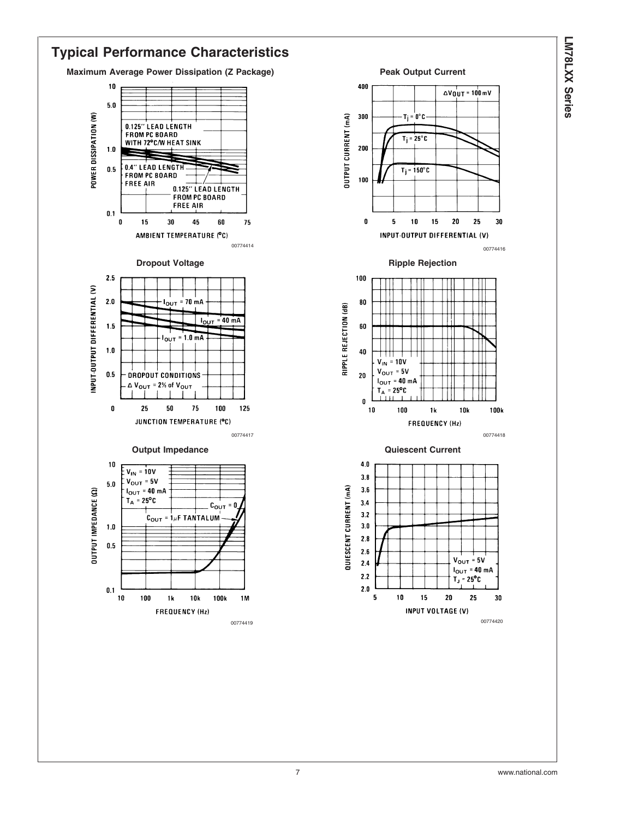

 $\Delta V_0$ UT = 100 mV

 $25$ 

30

 $10$ 

15  $20$ 

1 k

15

**10k** 

 $V_{OUT} = 5V$ 

 $T_J = 25^{\circ}C$ 

20

 $I_{OUT}$  = 40 mA

25

30

100<sub>k</sub>

#### **Typical Performance Characteristics Maximum Average Power Dissipation (Z Package) Peak Output Current**  $10$ 400  $5.0$ POWER DISSIPATION (W) OUTPUT CURRENT (mA) 300  $\mathbf{T}_\text{I} = \mathbf{0}^\circ \mathbf{C} \cdot$ 0.125" LEAD LENGTH FROM PC BOARD  $T_i = 25^\circ C$ WITH 72°C/W HEAT SINK  $200$  $1.0$ 0.4" LEAD LENGTH  $0.5\,$  $T_j = 150^\circ C$ **FROM PC BOARD** 100 **FREE AIR** 0.125" LEAD LENGTH **FROM PC BOARD FREE AIR**  $0.1$  $\pmb{0}$ 15 45 60 75  $\mathbf{0}$ 5 30 AMBIENT TEMPERATURE (°C) INPUT-OUTPUT DIFFERENTIAL (V) <sup>00774414</sup> <sup>00774416</sup> **Dropout Voltage Contract Contract Contract Contract Contract Contract Contract Contract Contract Contract Contract Contract Contract Contract Contract Contract Contract Contract Contract Contract Contract Contract Contrac**  $2.5\,$ 100 INPUT-OUTPUT DIFFERENTIAL (V)  $\boldsymbol{2.0}$  $I_{\text{OUT}}$  = 70 mA 80 RIPPLE REJECTION (dB)  $I_{OUT}$  = 40 mA  $1.5$  $\bf{60}$  $I_{\text{OUT}} = 1.0 \text{ mA}$  ${\bf 1.0}$  ${\bf 40}$  $V_{IN}$  = 10V  $V_{OUT} = 5V$  $0.5$ DROPOUT CONDITIONS  ${\bf 20}$  $I_{OUT}$  = 40 mA  $\triangle$  V<sub>OUT</sub> = 2% of V<sub>OUT</sub>  $T_A = 25^{\circ}C$ <u>іш</u>  $\pmb{0}$  $\pmb{0}$ 25  ${\bf 50}$ 75 100 125  $10$ 100 JUNCTION TEMPERATURE (°C) FREQUENCY (Hz) 00774417 00774418 **Output Impedance Current Current** Current Current  $4.0$ 10  $V_{IN} = 10V$  $3.8$  $V_{\text{OUT}} = 5V$  $5.0\,$ QUIESCENT CURRENT (mA)  $3.6$  $I_{OUT}$  = 40 mA **OUTPUT IMPEDANCE (Ω)**  $T_A = 25^{\circ}C$  $3.4$  $C_{\text{OUT}} = 0$  $3.2$  ${\bf c}_{\bf o \bf u \bf \tau}$  =  ${\bf 1} \mu$ f TANTALUM  $3.0$  $1.0$  $2.8$  $0.5$  $2.5$  $2.4$  $2.2$  $0.1$  $2.0$ 10 100  $1<sub>k</sub>$ **10k** 100k **1M** 5 10 **FREQUENCY (Hz)** INPUT VOLTAGE (V) 00774419 00774420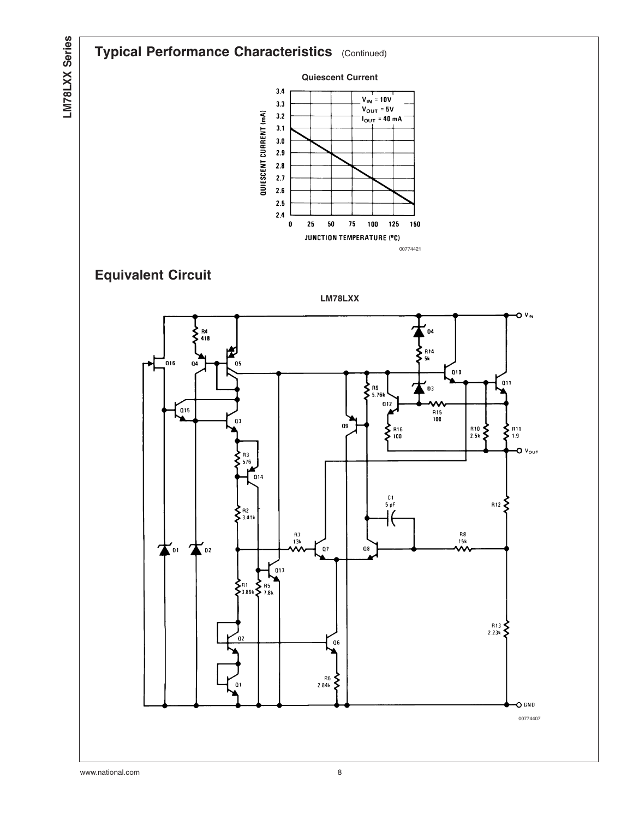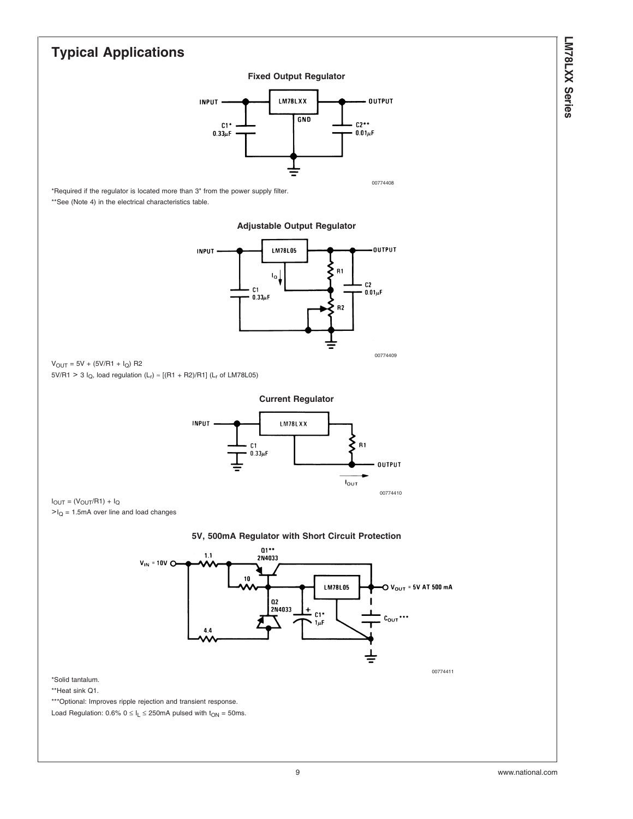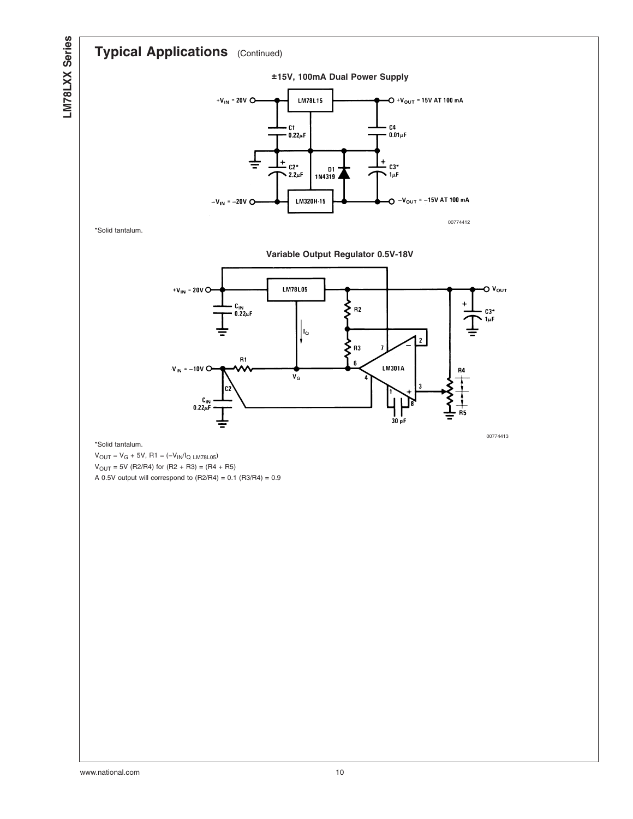## **Typical Applications** (Continued)



\*Solid tantalum.

**Variable Output Regulator 0.5V-18V**



#### \*Solid tantalum.

 $\mathsf{V}_{\mathsf{OUT}} = \mathsf{V}_{\mathsf{G}} + 5\mathsf{V}, \, \mathsf{R1} = (-\mathsf{V}_{\mathsf{IN}}/\mathsf{I}_{\mathsf{Q\ L\mathsf{M78L05}}})$  $V_{OUT} = 5V (R2/R4)$  for  $(R2 + R3) = (R4 + R5)$ A 0.5V output will correspond to  $(R2/R4) = 0.1 (R3/R4) = 0.9$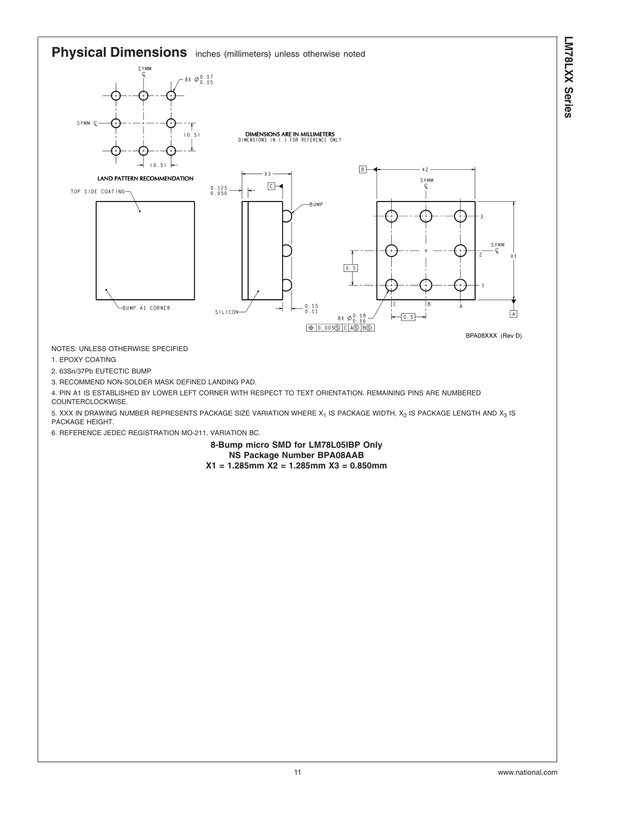**Physical Dimensions** inches (millimeters) unless otherwise noted



NOTES: UNLESS OTHERWISE SPECIFIED

1. EPOXY COATING

2. 63Sn/37Pb EUTECTIC BUMP

3. RECOMMEND NON-SOLDER MASK DEFINED LANDING PAD.

4. PIN A1 IS ESTABLISHED BY LOWER LEFT CORNER WITH RESPECT TO TEXT ORIENTATION. REMAINING PINS ARE NUMBERED COUNTERCLOCKWISE.

5. XXX IN DRAWING NUMBER REPRESENTS PACKAGE SIZE VARIATION WHERE  $X_1$  IS PACKAGE WIDTH,  $X_2$  IS PACKAGE LENGTH AND  $X_3$  IS PACKAGE HEIGHT.

6. REFERENCE JEDEC REGISTRATION MO-211, VARIATION BC.

**8-Bump micro SMD for LM78L05IBP Only NS Package Number BPA08AAB X1 = 1.285mm X2 = 1.285mm X3 = 0.850mm**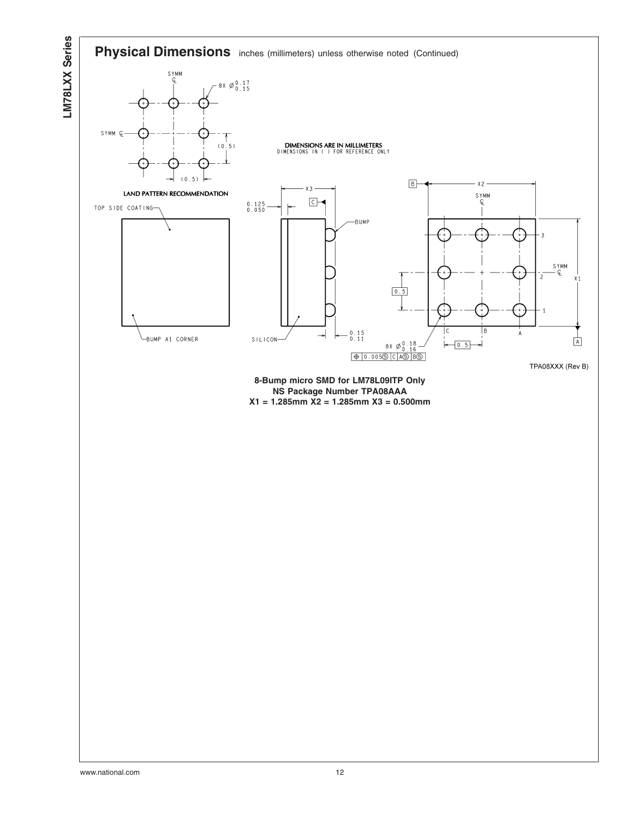

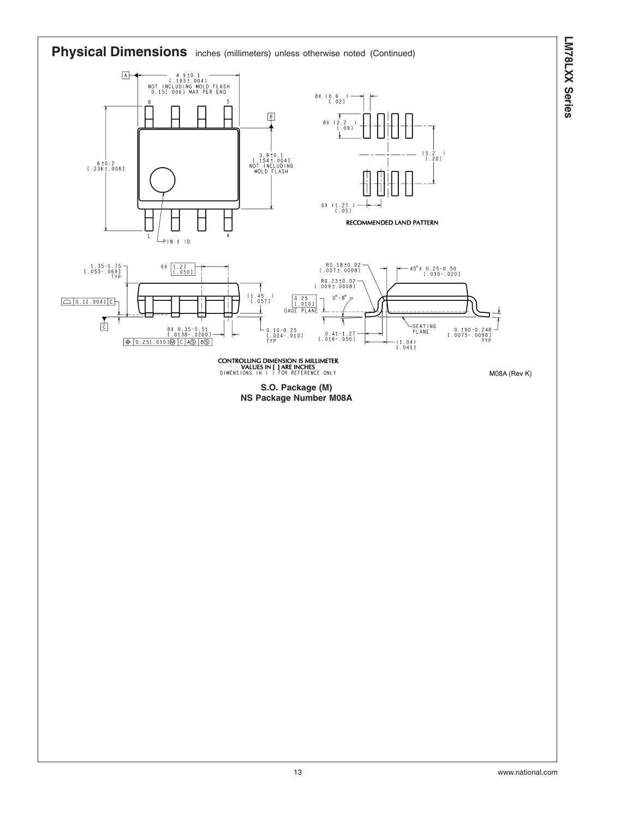

**LM78LXX**

 **Series**